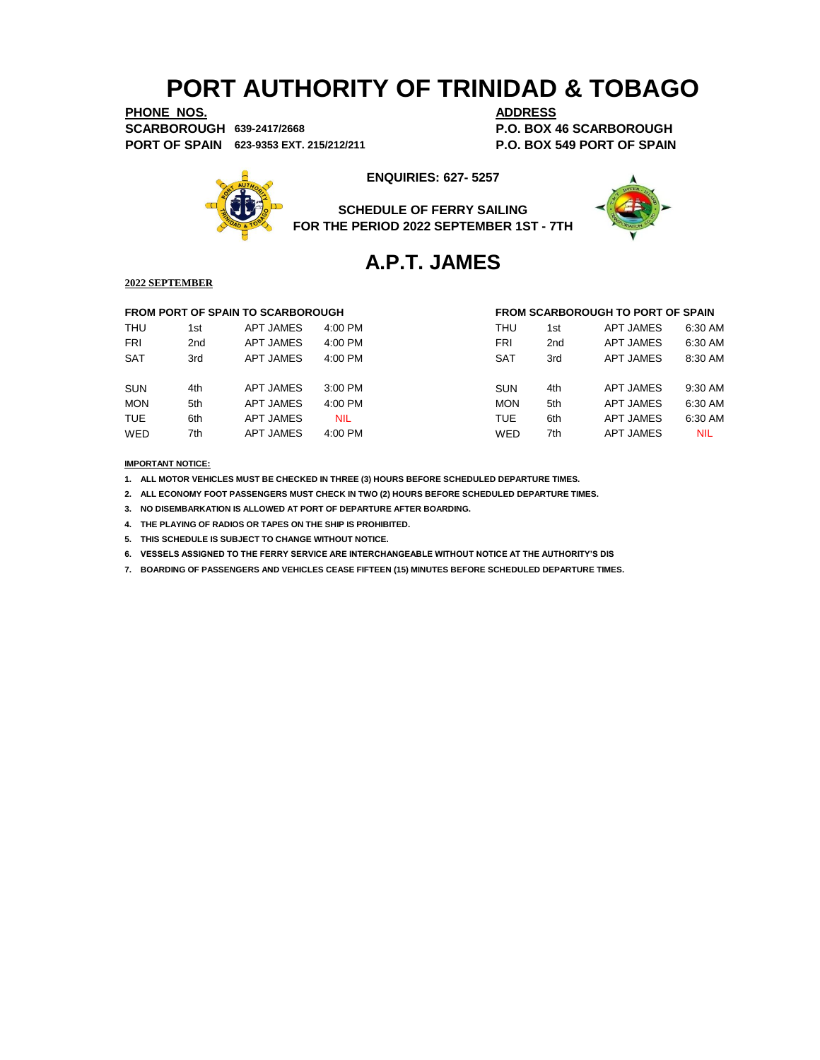**PHONE NOS. ADDRESS SCARBOROUGH 639-2417/2668 P.O. BOX 46 SCARBOROUGH PORT OF SPAIN 623-9353 EXT. 215/212/211 P.O. BOX 549 PORT OF SPAIN**



## **ENQUIRIES: 627- 5257**

**SCHEDULE OF FERRY SAILING FOR THE PERIOD 2022 SEPTEMBER 1ST - 7TH**



## **A.P.T. JAMES**

### **2022 SEPTEMBER**

|            |                 | <b>FROM PORT OF SPAIN TO SCARBOROUGH</b> |            |            |                 | <b>FROM SCARBOROUGH TO PORT OF SPAIN</b> |            |
|------------|-----------------|------------------------------------------|------------|------------|-----------------|------------------------------------------|------------|
| <b>THU</b> | 1st             | APT JAMES                                | $4:00$ PM  | THU        | 1st             | APT JAMES                                | 6:30 AM    |
| <b>FRI</b> | 2 <sub>nd</sub> | APT JAMES                                | 4:00 PM    | FRI        | 2 <sub>nd</sub> | APT JAMES                                | 6:30 AM    |
| <b>SAT</b> | 3rd             | APT JAMES                                | $4:00$ PM  | <b>SAT</b> | 3rd             | APT JAMES                                | 8:30 AM    |
|            |                 |                                          |            |            |                 |                                          |            |
| <b>SUN</b> | 4th             | APT JAMES                                | $3:00$ PM  | <b>SUN</b> | 4th             | APT JAMES                                | 9:30 AM    |
| <b>MON</b> | 5th             | APT JAMES                                | $4:00$ PM  | <b>MON</b> | 5th             | APT JAMES                                | 6:30 AM    |
| <b>TUE</b> | 6th             | <b>APT JAMES</b>                         | <b>NIL</b> | <b>TUE</b> | 6th             | <b>APT JAMES</b>                         | 6:30 AM    |
| <b>WED</b> | 7th             | APT JAMES                                | 4:00 PM    | WED        | 7th             | APT JAMES                                | <b>NIL</b> |
|            |                 |                                          |            |            |                 |                                          |            |

### **IMPORTANT NOTICE:**

**1. ALL MOTOR VEHICLES MUST BE CHECKED IN THREE (3) HOURS BEFORE SCHEDULED DEPARTURE TIMES.** 

**2. ALL ECONOMY FOOT PASSENGERS MUST CHECK IN TWO (2) HOURS BEFORE SCHEDULED DEPARTURE TIMES.**

**3. NO DISEMBARKATION IS ALLOWED AT PORT OF DEPARTURE AFTER BOARDING.**

**4. THE PLAYING OF RADIOS OR TAPES ON THE SHIP IS PROHIBITED.**

**5. THIS SCHEDULE IS SUBJECT TO CHANGE WITHOUT NOTICE.**

**6. VESSELS ASSIGNED TO THE FERRY SERVICE ARE INTERCHANGEABLE WITHOUT NOTICE AT THE AUTHORITY'S DIS**

**7. BOARDING OF PASSENGERS AND VEHICLES CEASE FIFTEEN (15) MINUTES BEFORE SCHEDULED DEPARTURE TIMES.**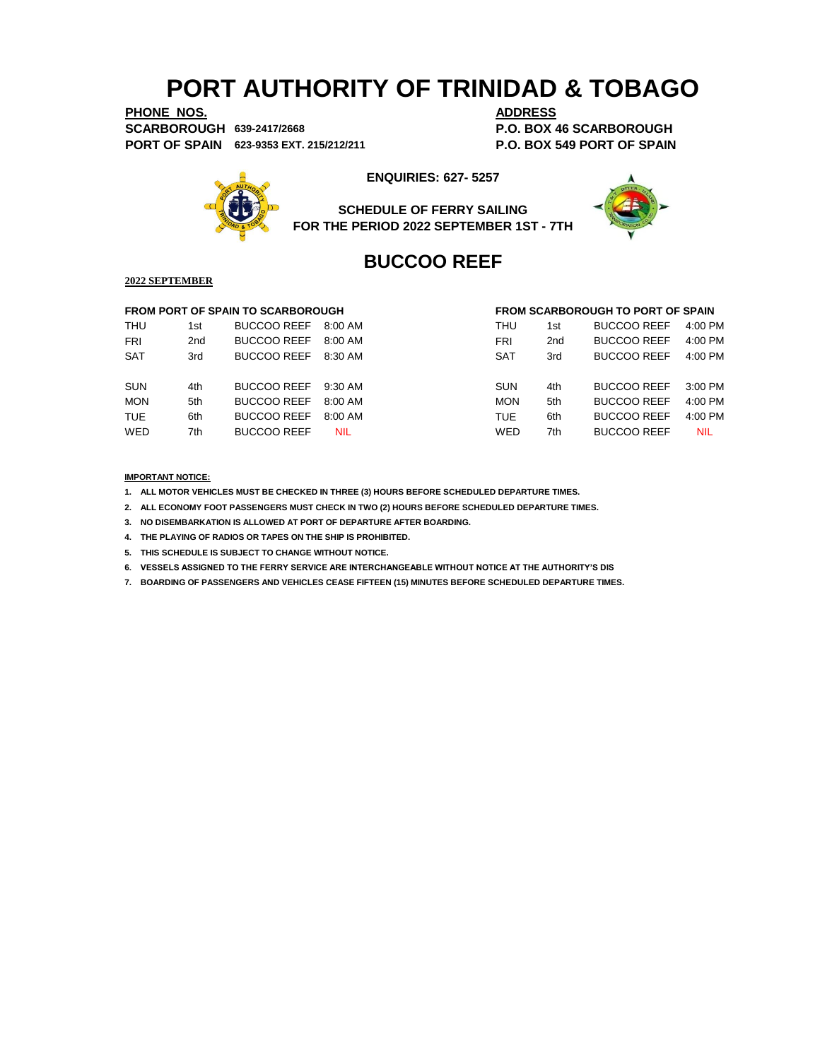**PHONE NOS. ADDRESS SCARBOROUGH 639-2417/2668 P.O. BOX 46 SCARBOROUGH PORT OF SPAIN 623-9353 EXT. 215/212/211 P.O. BOX 549 PORT OF SPAIN**



**ENQUIRIES: 627- 5257**

**SCHEDULE OF FERRY SAILING FOR THE PERIOD 2022 SEPTEMBER 1ST - 7TH**



## **BUCCOO REEF**

## **2022 SEPTEMBER**

## **FROM PORT OF SPAIN TO SCARBOROUGH FROM SCARBOROUGH TO PORT OF SPAIN**

|            |     | <b>FRUM FURT OF SPAIN TO SUARDURUUGH</b> |           |            |                 | FRUM SUARDURUUGH TU FURT UF SFAIN |            |
|------------|-----|------------------------------------------|-----------|------------|-----------------|-----------------------------------|------------|
| <b>THU</b> | 1st | <b>BUCCOO REEF</b>                       | 8:00 AM   | THU        | 1st             | <b>BUCCOO REEF</b>                | 4:00 PM    |
| <b>FRI</b> | 2nd | <b>BUCCOO REEF</b>                       | 8:00 AM   | FRI        | 2 <sub>nd</sub> | <b>BUCCOO REEF</b>                | $4:00$ PM  |
| <b>SAT</b> | 3rd | BUCCOO REEF 8:30 AM                      |           | <b>SAT</b> | 3rd             | <b>BUCCOO REEF</b>                | $4:00$ PM  |
| <b>SUN</b> | 4th | BUCCOO REEF 9:30 AM                      |           | <b>SUN</b> | 4th             | <b>BUCCOO REEF</b>                | $3:00$ PM  |
| <b>MON</b> | 5th | <b>BUCCOO REEF</b>                       | 8:00 AM   | <b>MON</b> | 5th             | <b>BUCCOO REEF</b>                | $4:00$ PM  |
| <b>TUE</b> | 6th | <b>BUCCOO REEF</b>                       | $8:00$ AM | TUE.       | 6th             | <b>BUCCOO REEF</b>                | $4:00$ PM  |
| <b>WED</b> | 7th | <b>BUCCOO REEF</b>                       | NIL.      | <b>WED</b> | 7th             | <b>BUCCOO REEF</b>                | <b>NIL</b> |
|            |     |                                          |           |            |                 |                                   |            |

### **IMPORTANT NOTICE:**

**1. ALL MOTOR VEHICLES MUST BE CHECKED IN THREE (3) HOURS BEFORE SCHEDULED DEPARTURE TIMES.** 

**2. ALL ECONOMY FOOT PASSENGERS MUST CHECK IN TWO (2) HOURS BEFORE SCHEDULED DEPARTURE TIMES.**

**3. NO DISEMBARKATION IS ALLOWED AT PORT OF DEPARTURE AFTER BOARDING.**

**4. THE PLAYING OF RADIOS OR TAPES ON THE SHIP IS PROHIBITED.**

**5. THIS SCHEDULE IS SUBJECT TO CHANGE WITHOUT NOTICE.**

**6. VESSELS ASSIGNED TO THE FERRY SERVICE ARE INTERCHANGEABLE WITHOUT NOTICE AT THE AUTHORITY'S DIS**

**7. BOARDING OF PASSENGERS AND VEHICLES CEASE FIFTEEN (15) MINUTES BEFORE SCHEDULED DEPARTURE TIMES.**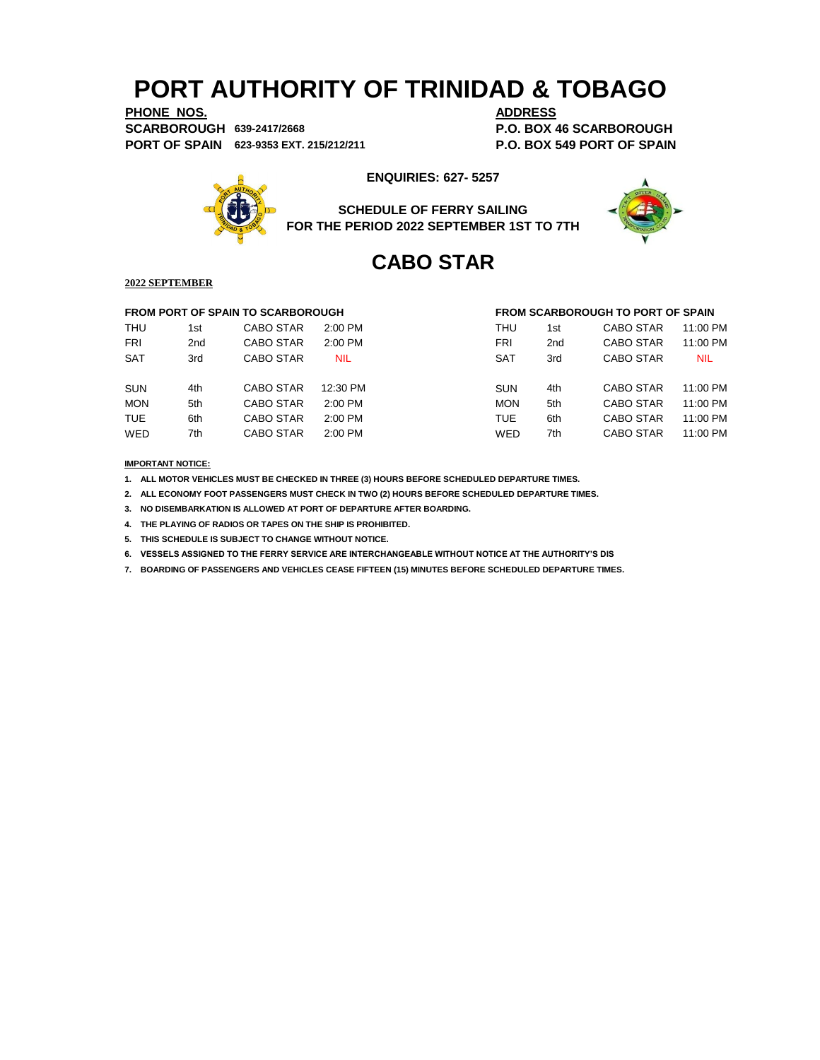**PHONE NOS. ADDRESS SCARBOROUGH 639-2417/2668 P.O. BOX 46 SCARBOROUGH PORT OF SPAIN 623-9353 EXT. 215/212/211 P.O. BOX 549 PORT OF SPAIN**



## **ENQUIRIES: 627- 5257**

**SCHEDULE OF FERRY SAILING FOR THE PERIOD 2022 SEPTEMBER 1ST TO 7TH**



## **CABO STAR**

**2022 SEPTEMBER**

## **FROM PORT OF SPAIN TO SCARBOROUGH FROM SCARBOROUGH TO PORT OF SPAIN** THU 1st CABO STAR 2:00 PM THU 1st CABO STAR 11:00 PM FRI 2nd CABO STAR 2:00 PM FRI 2nd CABO STAR 11:00 PM SAT 3rd CABO STAR NIL SAT 3rd CABO STAR NIL SUN 4th CABO STAR 12:30 PM SUN 4th CABO STAR 11:00 PM MON 5th CABO STAR 2:00 PM MON 5th CABO STAR 11:00 PM TUE 6th CABO STAR 2:00 PM TUE 6th CABO STAR 11:00 PM WED 7th CABO STAR 2:00 PM WED 7th CABO STAR 11:00 PM

**IMPORTANT NOTICE:**

**1. ALL MOTOR VEHICLES MUST BE CHECKED IN THREE (3) HOURS BEFORE SCHEDULED DEPARTURE TIMES.** 

**2. ALL ECONOMY FOOT PASSENGERS MUST CHECK IN TWO (2) HOURS BEFORE SCHEDULED DEPARTURE TIMES.**

**3. NO DISEMBARKATION IS ALLOWED AT PORT OF DEPARTURE AFTER BOARDING.**

**4. THE PLAYING OF RADIOS OR TAPES ON THE SHIP IS PROHIBITED.**

**5. THIS SCHEDULE IS SUBJECT TO CHANGE WITHOUT NOTICE.**

**6. VESSELS ASSIGNED TO THE FERRY SERVICE ARE INTERCHANGEABLE WITHOUT NOTICE AT THE AUTHORITY'S DIS**

**7. BOARDING OF PASSENGERS AND VEHICLES CEASE FIFTEEN (15) MINUTES BEFORE SCHEDULED DEPARTURE TIMES.**